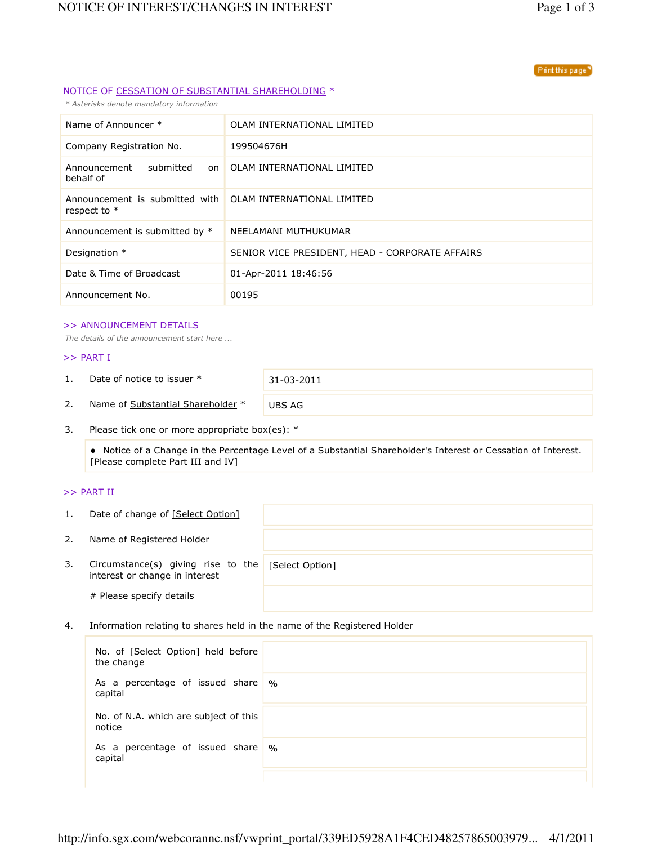#### Print this page

## NOTICE OF CESSATION OF SUBSTANTIAL SHAREHOLDING \*

\* Asterisks denote mandatory information

| Name of Announcer *                                                         | OLAM INTERNATIONAL LIMITED                      |
|-----------------------------------------------------------------------------|-------------------------------------------------|
| Company Registration No.                                                    | 199504676H                                      |
| Announcement<br>submitted<br>on<br>behalf of                                | OLAM INTERNATIONAL LIMITED                      |
| Announcement is submitted with OLAM INTERNATIONAL LIMITED<br>respect to $*$ |                                                 |
| Announcement is submitted by *                                              | NEELAMANI MUTHUKUMAR                            |
| Designation *                                                               | SENIOR VICE PRESIDENT, HEAD - CORPORATE AFFAIRS |
| Date & Time of Broadcast                                                    | 01-Apr-2011 18:46:56                            |
| Announcement No.                                                            | 00195                                           |

### >> ANNOUNCEMENT DETAILS

The details of the announcement start here ...

## >> PART I

1. Date of notice to issuer \* 31-03-2011

2. Name of Substantial Shareholder \* UBS AG

3. Please tick one or more appropriate box(es): \*

 Notice of a Change in the Percentage Level of a Substantial Shareholder's Interest or Cessation of Interest. [Please complete Part III and IV]

## >> PART II

| 1. | Date of change of [Select Option]                                                    |  |
|----|--------------------------------------------------------------------------------------|--|
| 2. | Name of Registered Holder                                                            |  |
| 3. | Circumstance(s) giving rise to the [Select Option]<br>interest or change in interest |  |
|    | # Please specify details                                                             |  |

4. Information relating to shares held in the name of the Registered Holder

| No. of [Select Option] held before<br>the change |               |
|--------------------------------------------------|---------------|
| As a percentage of issued share<br>capital       | $\frac{0}{0}$ |
| No. of N.A. which are subject of this<br>notice  |               |
| As a percentage of issued share<br>capital       | $\%$          |
|                                                  |               |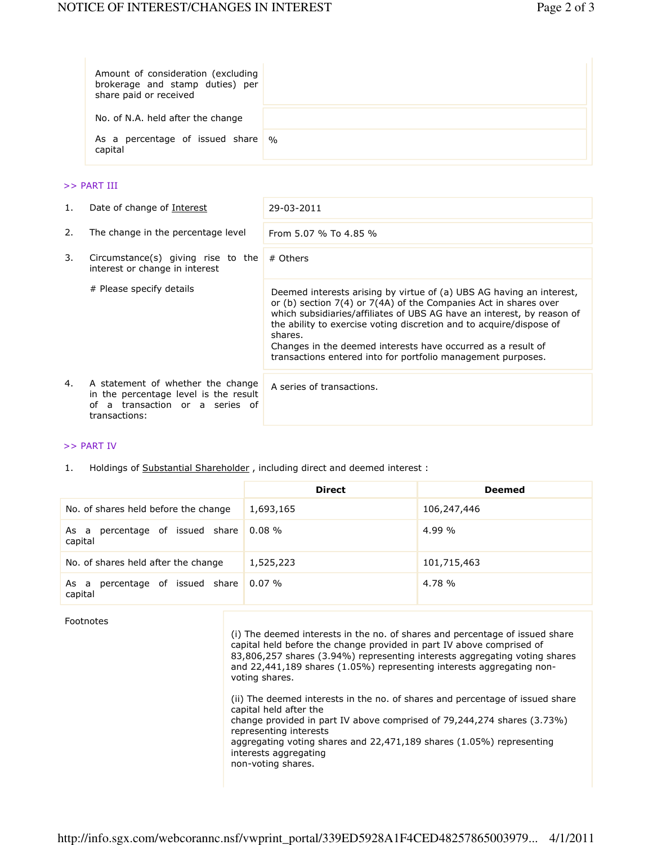| Amount of consideration (excluding<br>brokerage and stamp duties) per<br>share paid or received |  |
|-------------------------------------------------------------------------------------------------|--|
| No. of N.A. held after the change                                                               |  |
| As a percentage of issued share %<br>capital                                                    |  |

### >> PART III

| 1. | Date of change of Interest                                                                                                        | 29-03-2011                                                                                                                                                                                                                                                                                                                                                                                                                              |
|----|-----------------------------------------------------------------------------------------------------------------------------------|-----------------------------------------------------------------------------------------------------------------------------------------------------------------------------------------------------------------------------------------------------------------------------------------------------------------------------------------------------------------------------------------------------------------------------------------|
| 2. | The change in the percentage level                                                                                                | From 5.07 % To 4.85 %                                                                                                                                                                                                                                                                                                                                                                                                                   |
| 3. | Circumstance(s) giving rise to the<br>interest or change in interest                                                              | # Others                                                                                                                                                                                                                                                                                                                                                                                                                                |
|    | # Please specify details                                                                                                          | Deemed interests arising by virtue of (a) UBS AG having an interest,<br>or (b) section $7(4)$ or $7(4)$ of the Companies Act in shares over<br>which subsidiaries/affiliates of UBS AG have an interest, by reason of<br>the ability to exercise voting discretion and to acquire/dispose of<br>shares.<br>Changes in the deemed interests have occurred as a result of<br>transactions entered into for portfolio management purposes. |
| 4. | A statement of whether the change<br>in the percentage level is the result<br>a transaction or a series of<br>∩f<br>transactions: | A series of transactions.                                                                                                                                                                                                                                                                                                                                                                                                               |

# >> PART IV

1. Holdings of Substantial Shareholder, including direct and deemed interest :

|                                               | <b>Direct</b> | <b>Deemed</b> |
|-----------------------------------------------|---------------|---------------|
| No. of shares held before the change          | 1,693,165     | 106,247,446   |
| percentage of issued share<br>As a<br>capital | $0.08\%$      | $4.99\%$      |
| No. of shares held after the change           | 1,525,223     | 101,715,463   |
| percentage of issued share<br>As a<br>capital | $0.07\%$      | 4.78 %        |

Footnotes

(i) The deemed interests in the no. of shares and percentage of issued share capital held before the change provided in part IV above comprised of 83,806,257 shares (3.94%) representing interests aggregating voting shares and 22,441,189 shares (1.05%) representing interests aggregating nonvoting shares.

(ii) The deemed interests in the no. of shares and percentage of issued share capital held after the change provided in part IV above comprised of 79,244,274 shares (3.73%) representing interests aggregating voting shares and 22,471,189 shares (1.05%) representing interests aggregating non-voting shares.